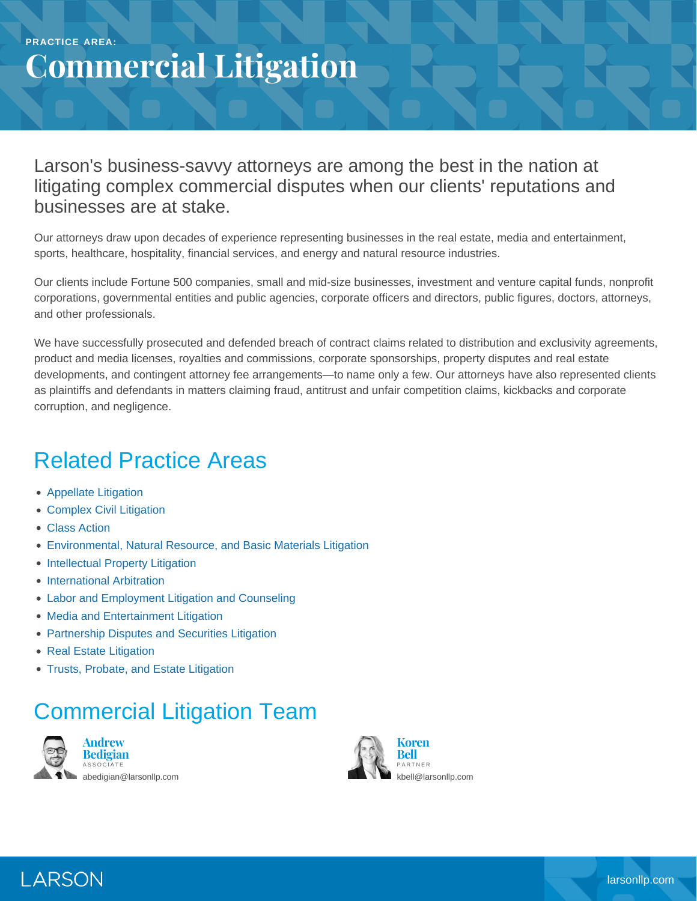## **Commercial Litigation**

Larson's business-savvy attorneys are among the best in the nation at litigating complex commercial disputes when our clients' reputations and businesses are at stake.

Our attorneys draw upon decades of experience representing businesses in the real estate, media and entertainment, sports, healthcare, hospitality, financial services, and energy and natural resource industries.

Our clients include Fortune 500 companies, small and mid-size businesses, investment and venture capital funds, nonprofit corporations, governmental entities and public agencies, corporate officers and directors, public figures, doctors, attorneys, and other professionals.

We have successfully prosecuted and defended breach of contract claims related to distribution and exclusivity agreements, product and media licenses, royalties and commissions, corporate sponsorships, property disputes and real estate developments, and contingent attorney fee arrangements—to name only a few. Our attorneys have also represented clients as plaintiffs and defendants in matters claiming fraud, antitrust and unfair competition claims, kickbacks and corporate corruption, and negligence.

## Related Practice Areas

- [Appellate Litigation](https://www.larsonllp.com/practice-areas/appellate-litigation/)
- [Complex Civil Litigation](https://www.larsonllp.com/practice-areas/complex-civil-litigation/)
- [Class Action](https://www.larsonllp.com/practice-areas/complex-civil-litigation/class-action/)
- [Environmental, Natural Resource, and Basic Materials Litigation](https://www.larsonllp.com/practice-areas/complex-civil-litigation/environmental-natural-resource-and-basic-materials-litigation/)
- [Intellectual Property Litigation](https://www.larsonllp.com/practice-areas/complex-civil-litigation/intellectual-property-litigation/)
- **[International Arbitration](https://www.larsonllp.com/practice-areas/complex-civil-litigation/international-arbitration/)**
- [Labor and Employment Litigation and Counseling](https://www.larsonllp.com/practice-areas/complex-civil-litigation/labor-and-employment-litigation-and-counseling/)
- [Media and Entertainment Litigation](https://www.larsonllp.com/practice-areas/complex-civil-litigation/media-and-entertainment-litigation/)
- [Partnership Disputes and Securities Litigation](https://www.larsonllp.com/practice-areas/complex-civil-litigation/partnership-disputes-and-securities-litigation/)
- [Real Estate Litigation](https://www.larsonllp.com/practice-areas/complex-civil-litigation/real-estate-litigation/)
- [Trusts, Probate, and Estate Litigation](https://www.larsonllp.com/practice-areas/complex-civil-litigation/trusts-probate-and-estate-litigation/)

## Commercial Litigation Team



**Andrew Bedigian** ASSOCIATE [abedigian@larsonllp.com](mailto:abedigian@larsonllp.com)



LARSON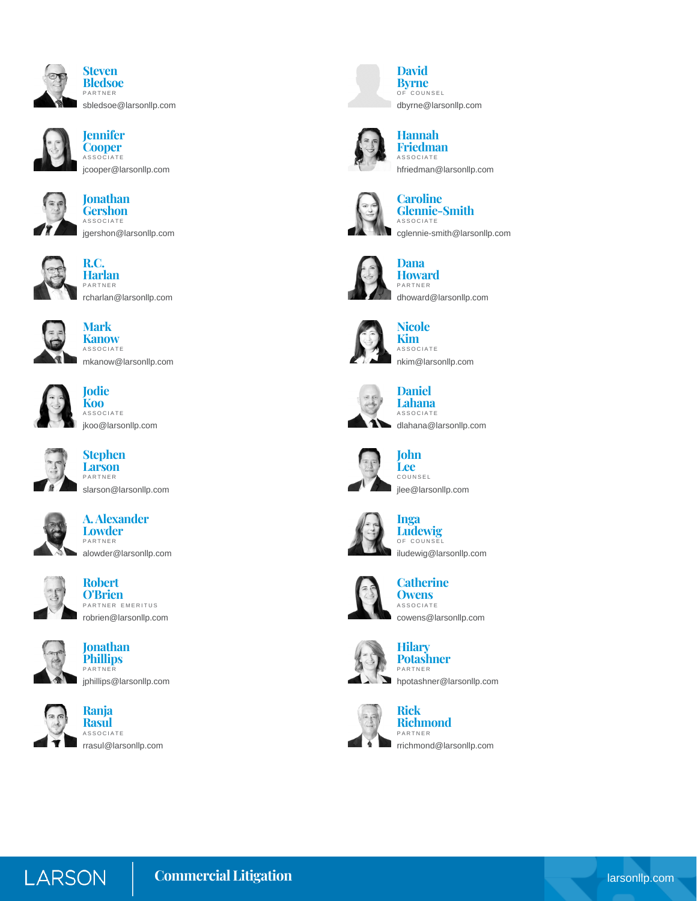



**Jennifer Cooper** ASSOCIATE [jcooper@larsonllp.com](mailto:jcooper@larsonllp.com)

**Jonathan Gershon** ASSOCIATE





**Harlan** PARTNER [rcharlan@larsonllp.com](mailto:rcharlan@larsonllp.com)



**Mark Kanow ASSOCIATE** [mkanow@larsonllp.com](mailto:mkanow@larsonllp.com)



**Jodie Koo** ASSOCIATE [jkoo@larsonllp.com](mailto:jkoo@larsonllp.com)



**Stephen Larson** PARTNER [slarson@larsonllp.com](mailto:slarson@larsonllp.com)



**A. Alexander Lowder** PARTNER [alowder@larsonllp.com](mailto:alowder@larsonllp.com)



**Robert O'Brien** PARTNER EMERITUS [robrien@larsonllp.com](mailto:robrien@larsonllp.com)





**Jonathan**



**Ranja Rasul** ASSOCIATE [rrasul@larsonllp.com](mailto:rrasul@larsonllp.com)



**David Byrne** OF COUNSEL [dbyrne@larsonllp.com](mailto:dbyrne@larsonllp.com)



**Hannah Friedman** ASSOCIATE [hfriedman@larsonllp.com](mailto:hfriedman@larsonllp.com)



**Caroline Glennie-Smith** ASSOCIATE [cglennie-smith@larsonllp.com](mailto:cglennie-smith@larsonllp.com)



**Dana Howard**

PARTNER [dhoward@larsonllp.com](mailto:dhoward@larsonllp.com)



## **Nicole Kim**

**ASSOCIATE** [nkim@larsonllp.com](mailto:nkim@larsonllp.com)



**Lahana** ASSOCIATE [dlahana@larsonllp.com](mailto:dlahana@larsonllp.com)



**John Lee** COUNSEL [jlee@larsonllp.com](mailto:jlee@larsonllp.com)



**Inga Ludewig** OF COUNSEL [iludewig@larsonllp.com](mailto:iludewig@larsonllp.com)



**Catherine Owens** ASSOCIATE [cowens@larsonllp.com](mailto:cowens@larsonllp.com)





[hpotashner@larsonllp.com](mailto:hpotashner@larsonllp.com)



**Rick Richmond** PARTNER [rrichmond@larsonllp.com](mailto:rrichmond@larsonllp.com)